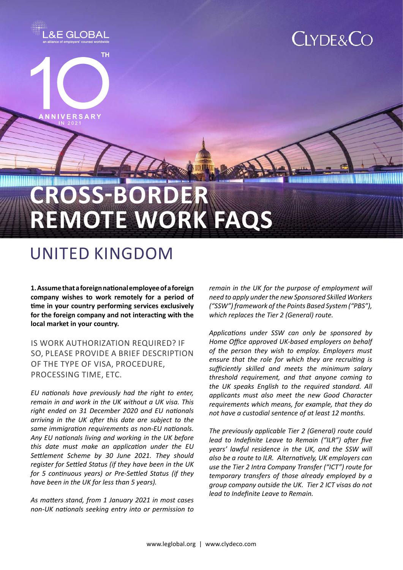

# UNITED KINGDOM

**1. Assume that a foreign national employee of a foreign company wishes to work remotely for a period of time in your country performing services exclusively for the foreign company and not interacting with the local market in your country.**

Is work authorization required? If so, please provide a brief description of the type of visa, procedure, processing time, etc.

*EU nationals have previously had the right to enter, remain in and work in the UK without a UK visa. This right ended on 31 December 2020 and EU nationals arriving in the UK after this date are subject to the same immigration requirements as non-EU nationals. Any EU nationals living and working in the UK before this date must make an application under the EU Settlement Scheme by 30 June 2021. They should register for Settled Status (if they have been in the UK for 5 continuous years) or Pre-Settled Status (if they have been in the UK for less than 5 years).* 

*As matters stand, from 1 January 2021 in most cases non-UK nationals seeking entry into or permission to*  *remain in the UK for the purpose of employment will need to apply under the new Sponsored Skilled Workers ("SSW") framework of the Points Based System ("PBS"), which replaces the Tier 2 (General) route.* 

*Applications under SSW can only be sponsored by Home Office approved UK-based employers on behalf of the person they wish to employ. Employers must ensure that the role for which they are recruiting is sufficiently skilled and meets the minimum salary threshold requirement, and that anyone coming to the UK speaks English to the required standard. All applicants must also meet the new Good Character requirements which means, for example, that they do not have a custodial sentence of at least 12 months.*

*The previously applicable Tier 2 (General) route could lead to Indefinite Leave to Remain ("ILR") after five years' lawful residence in the UK, and the SSW will also be a route to ILR. Alternatively, UK employers can use the Tier 2 Intra Company Transfer ("ICT") route for temporary transfers of those already employed by a group company outside the UK. Tier 2 ICT visas do not lead to Indefinite Leave to Remain.*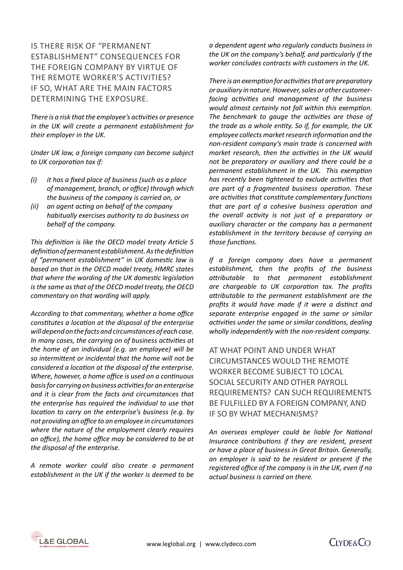# Is there risk of "permanent establishment" consequences for the foreign company by virtue of the remote worker's activities? If so, what are the main factors determining the exposure.

*There is a risk that the employee's activities or presence in the UK will create a permanent establishment for their employer in the UK.* 

*Under UK law, a foreign company can become subject to UK corporation tax if:*

- *(i) it has a fixed place of business (such as a place of management, branch, or office) through which the business of the company is carried on, or*
- *(ii) an agent acting on behalf of the company habitually exercises authority to do business on behalf of the company.*

*This definition is like the OECD model treaty Article 5 definition of permanent establishment. As the definition of "permanent establishment" in UK domestic law is based on that in the OECD model treaty, HMRC states that where the wording of the UK domestic legislation is the same as that of the OECD model treaty, the OECD commentary on that wording will apply.* 

*According to that commentary, whether a home office constitutes a location at the disposal of the enterprise will depend on the facts and circumstances of each case. In many cases, the carrying on of business activities at the home of an individual (e.g. an employee) will be so intermittent or incidental that the home will not be considered a location at the disposal of the enterprise. Where, however, a home office is used on a continuous basis for carrying on business activities for an enterprise and it is clear from the facts and circumstances that the enterprise has required the individual to use that location to carry on the enterprise's business (e.g. by not providing an office to an employee in circumstances where the nature of the employment clearly requires an office), the home office may be considered to be at the disposal of the enterprise.*

*A remote worker could also create a permanent establishment in the UK if the worker is deemed to be*  *a dependent agent who regularly conducts business in the UK on the company's behalf, and particularly if the worker concludes contracts with customers in the UK.* 

*There is an exemption for activities that are preparatory or auxiliary in nature. However, sales or other customerfacing activities and management of the business would almost certainly not fall within this exemption. The benchmark to gauge the activities are those of the trade as a whole entity. So if, for example, the UK employee collects market research information and the non-resident company's main trade is concerned with market research, then the activities in the UK would not be preparatory or auxiliary and there could be a permanent establishment in the UK. This exemption has recently been tightened to exclude activities that are part of a fragmented business operation. These are activities that constitute complementary functions that are part of a cohesive business operation and the overall activity is not just of a preparatory or auxiliary character or the company has a permanent establishment in the territory because of carrying on those functions.*

*If a foreign company does have a permanent establishment, then the profits of the business attributable to that permanent establishment are chargeable to UK corporation tax. The profits attributable to the permanent establishment are the profits it would have made if it were a distinct and separate enterprise engaged in the same or similar activities under the same or similar conditions, dealing wholly independently with the non-resident company.*

At what point and under what circumstances would the remote worker become subject to local social security and other payroll requirements? Can such requirements be fulfilled by a foreign company, and if so by what mechanisms?

*An overseas employer could be liable for National Insurance contributions if they are resident, present or have a place of business in Great Britain. Generally, an employer is said to be resident or present if the registered office of the company is in the UK, even if no actual business is carried on there.* 



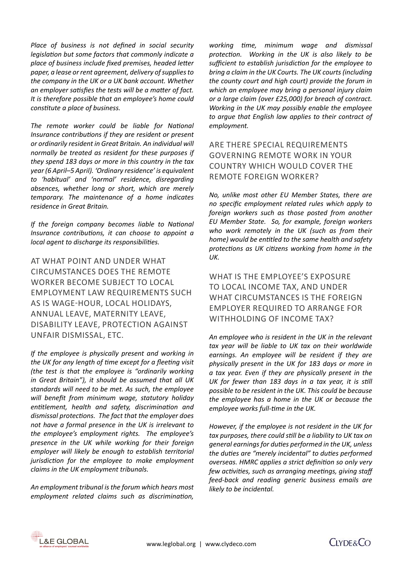*Place of business is not defined in social security legislation but some factors that commonly indicate a place of business include fixed premises, headed letter paper, a lease or rent agreement, delivery of supplies to the company in the UK or a UK bank account. Whether an employer satisfies the tests will be a matter of fact. It is therefore possible that an employee's home could constitute a place of business.* 

*The remote worker could be liable for National Insurance contributions if they are resident or present or ordinarily resident in Great Britain. An individual will normally be treated as resident for these purposes if they spend 183 days or more in this country in the tax year (6 April–5 April). 'Ordinary residence' is equivalent to 'habitual' and 'normal' residence, disregarding absences, whether long or short, which are merely temporary. The maintenance of a home indicates residence in Great Britain.*

*If the foreign company becomes liable to National Insurance contributions, it can choose to appoint a local agent to discharge its responsibilities.*

At what point and under what circumstances does the remote worker become subject to local employment law requirements such as Is wage-hour, local holidays, annual leave, maternity leave, disability leave, protection against unfair dismissal, etc.

*If the employee is physically present and working in the UK for any length of time except for a fleeting visit (the test is that the employee is "ordinarily working in Great Britain"), it should be assumed that all UK standards will need to be met. As such, the employee will benefit from minimum wage, statutory holiday entitlement, health and safety, discrimination and dismissal protections. The fact that the employer does not have a formal presence in the UK is irrelevant to the employee's employment rights. The employee's presence in the UK while working for their foreign employer will likely be enough to establish territorial jurisdiction for the employee to make employment claims in the UK employment tribunals.* 

*An employment tribunal is the forum which hears most employment related claims such as discrimination,* 

*working time, minimum wage and dismissal protection. Working in the UK is also likely to be sufficient to establish jurisdiction for the employee to bring a claim in the UK Courts. The UK courts (including the county court and high court) provide the forum in which an employee may bring a personal injury claim or a large claim (over £25,000) for breach of contract. Working in the UK may possibly enable the employee to argue that English law applies to their contract of employment.* 

Are there special requirements governing remote work in your country which would cover the remote foreign worker?

*No, unlike most other EU Member States, there are no specific employment related rules which apply to foreign workers such as those posted from another EU Member State. So, for example, foreign workers who work remotely in the UK (such as from their home) would be entitled to the same health and safety protections as UK citizens working from home in the UK.* 

# WHAT IS THE EMPLOYEE'S EXPOSURE to local income tax, and under what circumstances is the foreign employer required to arrange for withholding of income tax?

*An employee who is resident in the UK in the relevant tax year will be liable to UK tax on their worldwide earnings. An employee will be resident if they are physically present in the UK for 183 days or more in a tax year. Even if they are physically present in the UK for fewer than 183 days in a tax year, it is still possible to be resident in the UK. This could be because the employee has a home in the UK or because the employee works full-time in the UK.*

*However, if the employee is not resident in the UK for tax purposes, there could still be a liability to UK tax on general earnings for duties performed in the UK, unless the duties are "merely incidental" to duties performed overseas. HMRC applies a strict definition so only very few activities, such as arranging meetings, giving staff feed-back and reading generic business emails are likely to be incidental.*



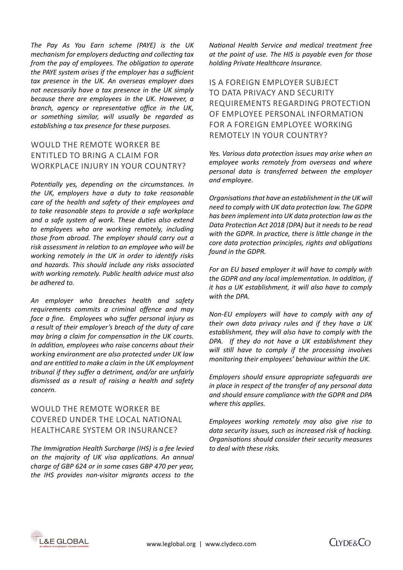*The Pay As You Earn scheme (PAYE) is the UK mechanism for employers deducting and collecting tax from the pay of employees. The obligation to operate the PAYE system arises if the employer has a sufficient tax presence in the UK. An overseas employer does not necessarily have a tax presence in the UK simply because there are employees in the UK. However, a branch, agency or representative office in the UK, or something similar, will usually be regarded as establishing a tax presence for these purposes.*

# Would the remote worker be entitled to bring a claim for workplace injury in your country?

*Potentially yes, depending on the circumstances. In the UK, employers have a duty to take reasonable care of the health and safety of their employees and to take reasonable steps to provide a safe workplace and a safe system of work. These duties also extend to employees who are working remotely, including those from abroad. The employer should carry out a risk assessment in relation to an employee who will be working remotely in the UK in order to identify risks and hazards. This should include any risks associated with working remotely. Public health advice must also be adhered to.* 

*An employer who breaches health and safety requirements commits a criminal offence and may face a fine. Employees who suffer personal injury as a result of their employer's breach of the duty of care may bring a claim for compensation in the UK courts. In addition, employees who raise concerns about their working environment are also protected under UK law and are entitled to make a claim in the UK employment tribunal if they suffer a detriment, and/or are unfairly dismissed as a result of raising a health and safety concern.* 

### Would the remote worker be covered under the local national healthcare system or insurance?

*The Immigration Health Surcharge (IHS) is a fee levied on the majority of UK visa applications. An annual charge of GBP 624 or in some cases GBP 470 per year, the IHS provides non-visitor migrants access to the*  *National Health Service and medical treatment free at the point of use. The HIS is payable even for those holding Private Healthcare Insurance.*

Is a foreign employer subject to data privacy and security requirements regarding protection of employee personal information for a foreign employee working remotely in your country?

*Yes. Various data protection issues may arise when an employee works remotely from overseas and where personal data is transferred between the employer and employee.*

*Organisations that have an establishment in the UK will need to comply with UK data protection law. The GDPR has been implement into UK data protection law as the Data Protection Act 2018 (DPA) but it needs to be read with the GDPR. In practice, there is little change in the core data protection principles, rights and obligations found in the GDPR.* 

*For an EU based employer it will have to comply with the GDPR and any local implementation. In addition, if it has a UK establishment, it will also have to comply with the DPA.* 

*Non-EU employers will have to comply with any of their own data privacy rules and if they have a UK establishment, they will also have to comply with the DPA. If they do not have a UK establishment they will still have to comply if the processing involves monitoring their employees' behaviour within the UK.*

*Employers should ensure appropriate safeguards are in place in respect of the transfer of any personal data and should ensure compliance with the GDPR and DPA where this applies.*

*Employees working remotely may also give rise to data security issues, such as increased risk of hacking. Organisations should consider their security measures to deal with these risks.*



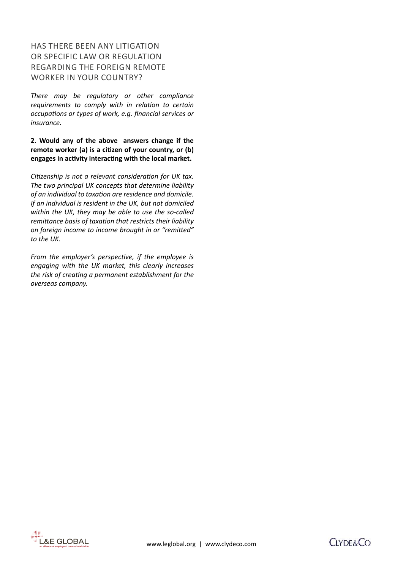# Has there been any litigation or specific law or regulation regarding the foreign remote worker in your country?

*There may be regulatory or other compliance requirements to comply with in relation to certain occupations or types of work, e.g. financial services or insurance.* 

**2. Would any of the above answers change if the remote worker (a) is a citizen of your country, or (b) engages in activity interacting with the local market.** 

*Citizenship is not a relevant consideration for UK tax. The two principal UK concepts that determine liability of an individual to taxation are residence and domicile. If an individual is resident in the UK, but not domiciled within the UK, they may be able to use the so-called remittance basis of taxation that restricts their liability on foreign income to income brought in or "remitted" to the UK.* 

*From the employer's perspective, if the employee is engaging with the UK market, this clearly increases the risk of creating a permanent establishment for the overseas company.*